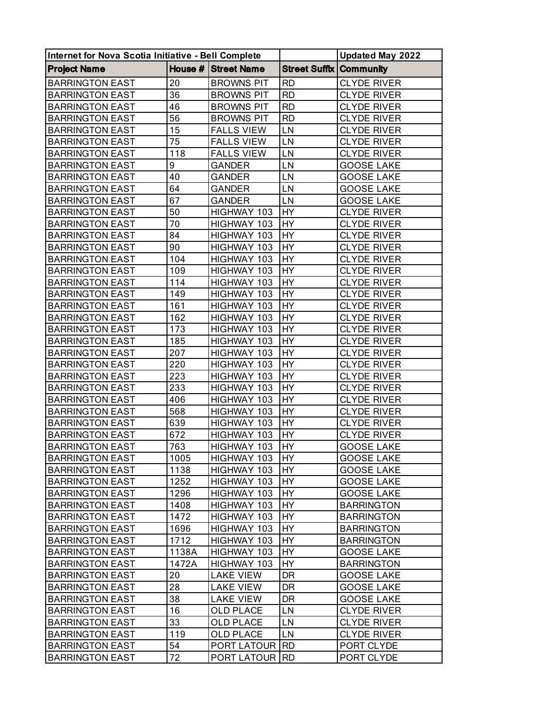| Internet for Nova Scotia Initiative - Bell Complete |       |                     |                                | <b>Updated May 2022</b> |
|-----------------------------------------------------|-------|---------------------|--------------------------------|-------------------------|
| <b>Project Name</b>                                 |       | House # Street Name | <b>Street Suffix Community</b> |                         |
| <b>BARRINGTON EAST</b>                              | 20    | <b>BROWNS PIT</b>   | <b>RD</b>                      | <b>CLYDE RIVER</b>      |
| <b>BARRINGTON EAST</b>                              | 36    | <b>BROWNS PIT</b>   | <b>RD</b>                      | <b>CLYDE RIVER</b>      |
| <b>BARRINGTON EAST</b>                              | 46    | <b>BROWNS PIT</b>   | <b>RD</b>                      | <b>CLYDE RIVER</b>      |
| <b>BARRINGTON EAST</b>                              | 56    | <b>BROWNS PIT</b>   | <b>RD</b>                      | <b>CLYDE RIVER</b>      |
| <b>BARRINGTON EAST</b>                              | 15    | <b>FALLS VIEW</b>   | LN                             | <b>CLYDE RIVER</b>      |
| <b>BARRINGTON EAST</b>                              | 75    | <b>FALLS VIEW</b>   | LN                             | <b>CLYDE RIVER</b>      |
| <b>BARRINGTON EAST</b>                              | 118   | <b>FALLS VIEW</b>   | LN                             | <b>CLYDE RIVER</b>      |
| <b>BARRINGTON EAST</b>                              | 9     | <b>GANDER</b>       | LN                             | <b>GOOSE LAKE</b>       |
| <b>BARRINGTON EAST</b>                              | 40    | <b>GANDER</b>       | LN                             | <b>GOOSE LAKE</b>       |
| <b>BARRINGTON EAST</b>                              | 64    | GANDER              | LN                             | <b>GOOSE LAKE</b>       |
| <b>BARRINGTON EAST</b>                              | 67    | GANDER              | LN                             | <b>GOOSE LAKE</b>       |
| <b>BARRINGTON EAST</b>                              | 50    | HIGHWAY 103         | HY                             | <b>CLYDE RIVER</b>      |
| <b>BARRINGTON EAST</b>                              | 70    | HIGHWAY 103         | <b>HY</b>                      | <b>CLYDE RIVER</b>      |
| <b>BARRINGTON EAST</b>                              | 84    | HIGHWAY 103         | <b>HY</b>                      | <b>CLYDE RIVER</b>      |
| <b>BARRINGTON EAST</b>                              | 90    | HIGHWAY 103         | <b>HY</b>                      | <b>CLYDE RIVER</b>      |
| <b>BARRINGTON EAST</b>                              | 104   | HIGHWAY 103         | HY                             | <b>CLYDE RIVER</b>      |
| <b>BARRINGTON EAST</b>                              | 109   | HIGHWAY 103         | <b>HY</b>                      | <b>CLYDE RIVER</b>      |
| <b>BARRINGTON EAST</b>                              | 114   | HIGHWAY 103         | HY                             | <b>CLYDE RIVER</b>      |
| <b>BARRINGTON EAST</b>                              | 149   | HIGHWAY 103         | HY                             | <b>CLYDE RIVER</b>      |
| <b>BARRINGTON EAST</b>                              | 161   | HIGHWAY 103         | <b>HY</b>                      | <b>CLYDE RIVER</b>      |
| <b>BARRINGTON EAST</b>                              | 162   | HIGHWAY 103         | <b>HY</b>                      | <b>CLYDE RIVER</b>      |
| <b>BARRINGTON EAST</b>                              | 173   | HIGHWAY 103         | HY                             | <b>CLYDE RIVER</b>      |
| <b>BARRINGTON EAST</b>                              | 185   | HIGHWAY 103         | <b>HY</b>                      | <b>CLYDE RIVER</b>      |
| <b>BARRINGTON EAST</b>                              | 207   | HIGHWAY 103         | <b>HY</b>                      | <b>CLYDE RIVER</b>      |
| <b>BARRINGTON EAST</b>                              | 220   | HIGHWAY 103         | HY                             | <b>CLYDE RIVER</b>      |
| <b>BARRINGTON EAST</b>                              | 223   | HIGHWAY 103         | <b>HY</b>                      | <b>CLYDE RIVER</b>      |
| <b>BARRINGTON EAST</b>                              | 233   | HIGHWAY 103         | HY                             | <b>CLYDE RIVER</b>      |
| <b>BARRINGTON EAST</b>                              | 406   | HIGHWAY 103         | <b>HY</b>                      | <b>CLYDE RIVER</b>      |
| <b>BARRINGTON EAST</b>                              | 568   | HIGHWAY 103         | <b>HY</b>                      | <b>CLYDE RIVER</b>      |
| <b>BARRINGTON EAST</b>                              | 639   | HIGHWAY 103         | HY                             | <b>CLYDE RIVER</b>      |
| <b>BARRINGTON EAST</b>                              | 672   | HIGHWAY 103         | HY                             | <b>CLYDE RIVER</b>      |
| <b>BARRINGTON EAST</b>                              | 763   | HIGHWAY 103         | HY                             | <b>GOOSE LAKE</b>       |
| <b>BARRINGTON EAST</b>                              | 1005  | HIGHWAY 103         | IHY.                           | <b>GOOSE LAKE</b>       |
| <b>BARRINGTON EAST</b>                              | 1138  | HIGHWAY 103         | HY                             | <b>GOOSE LAKE</b>       |
| <b>BARRINGTON EAST</b>                              | 1252  | HIGHWAY 103         | <b>HY</b>                      | <b>GOOSE LAKE</b>       |
| <b>BARRINGTON EAST</b>                              | 1296  | HIGHWAY 103         | HY                             | <b>GOOSE LAKE</b>       |
| <b>BARRINGTON EAST</b>                              | 1408  | HIGHWAY 103         | HY.                            | <b>BARRINGTON</b>       |
| <b>BARRINGTON EAST</b>                              | 1472  | HIGHWAY 103         | HY                             | <b>BARRINGTON</b>       |
| <b>BARRINGTON EAST</b>                              | 1696  | HIGHWAY 103         | <b>HY</b>                      | <b>BARRINGTON</b>       |
| <b>BARRINGTON EAST</b>                              | 1712  | HIGHWAY 103         | HY                             | <b>BARRINGTON</b>       |
| <b>BARRINGTON EAST</b>                              | 1138A | HIGHWAY 103         | HY                             | <b>GOOSE LAKE</b>       |
| <b>BARRINGTON EAST</b>                              | 1472A | HIGHWAY 103         | HY                             | <b>BARRINGTON</b>       |
| <b>BARRINGTON EAST</b>                              | 20    | LAKE VIEW           | DR                             | <b>GOOSE LAKE</b>       |
| <b>BARRINGTON EAST</b>                              | 28    | <b>LAKE VIEW</b>    | DR                             | <b>GOOSE LAKE</b>       |
| <b>BARRINGTON EAST</b>                              | 38    | <b>LAKE VIEW</b>    | <b>DR</b>                      | <b>GOOSE LAKE</b>       |
| <b>BARRINGTON EAST</b>                              | 16    | OLD PLACE           | LN                             | <b>CLYDE RIVER</b>      |
| <b>BARRINGTON EAST</b>                              | 33    | <b>OLD PLACE</b>    | LN                             | <b>CLYDE RIVER</b>      |
| <b>BARRINGTON EAST</b>                              | 119   | <b>OLD PLACE</b>    | LN                             | <b>CLYDE RIVER</b>      |
| <b>BARRINGTON EAST</b>                              | 54    | PORT LATOUR         | <b>RD</b>                      | PORT CLYDE              |
| <b>BARRINGTON EAST</b>                              | 72    | PORT LATOUR         | <b>RD</b>                      | PORT CLYDE              |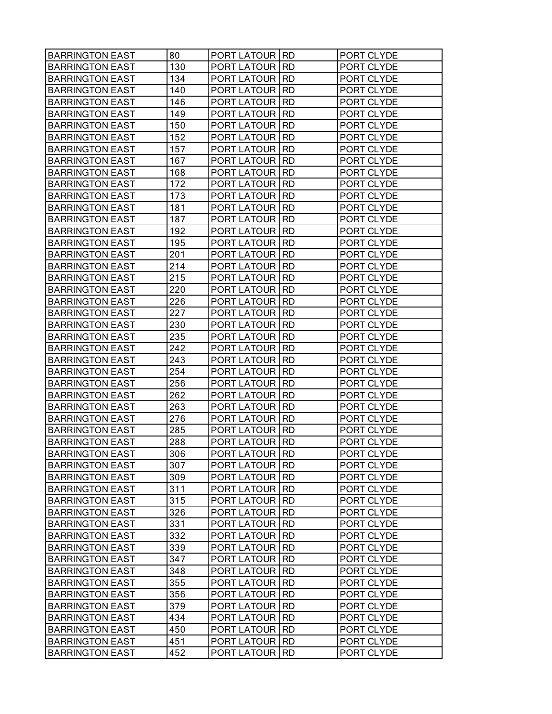| <b>BARRINGTON EAST</b> | 80  | <b>PORT LATOUR RD</b>  |            | PORT CLYDE |
|------------------------|-----|------------------------|------------|------------|
| <b>BARRINGTON EAST</b> | 130 | <b>PORT LATOUR RD</b>  |            | PORT CLYDE |
| <b>BARRINGTON EAST</b> | 134 | <b>PORT LATOUR RD</b>  |            | PORT CLYDE |
| <b>BARRINGTON EAST</b> | 140 | PORT LATOUR IRD        |            | PORT CLYDE |
| <b>BARRINGTON EAST</b> | 146 | <b>PORT LATOUR RD</b>  |            | PORT CLYDE |
| <b>BARRINGTON EAST</b> | 149 | PORT LATOUR            | <b>RD</b>  | PORT CLYDE |
| <b>BARRINGTON EAST</b> | 150 | <b>PORT LATOUR</b>     | IRD        | PORT CLYDE |
| <b>BARRINGTON EAST</b> | 152 | <b>PORT LATOUR RD</b>  |            | PORT CLYDE |
| <b>BARRINGTON EAST</b> | 157 | <b>PORT LATOUR RD</b>  |            | PORT CLYDE |
| <b>BARRINGTON EAST</b> | 167 | <b>PORT LATOUR IRD</b> |            | PORT CLYDE |
| <b>BARRINGTON EAST</b> | 168 | PORT LATOUR RD         |            | PORT CLYDE |
| <b>BARRINGTON EAST</b> | 172 | <b>PORT LATOUR</b>     | <b>IRD</b> | PORT CLYDE |
| <b>BARRINGTON EAST</b> | 173 | <b>PORT LATOUR</b>     | I RD       | PORT CLYDE |
| <b>BARRINGTON EAST</b> | 181 | <b>PORT LATOUR RD</b>  |            | PORT CLYDE |
| <b>BARRINGTON EAST</b> | 187 | <b>PORT LATOUR RD</b>  |            | PORT CLYDE |
| <b>BARRINGTON EAST</b> | 192 | <b>PORT LATOUR IRD</b> |            | PORT CLYDE |
| <b>BARRINGTON EAST</b> | 195 | <b>PORT LATOUR RD</b>  |            | PORT CLYDE |
| <b>BARRINGTON EAST</b> | 201 | PORT LATOUR            | <b>IRD</b> | PORT CLYDE |
| <b>BARRINGTON EAST</b> | 214 | <b>PORT LATOUR</b>     | I RD       | PORT CLYDE |
| <b>BARRINGTON EAST</b> | 215 | <b>PORT LATOUR RD</b>  |            | PORT CLYDE |
| <b>BARRINGTON EAST</b> | 220 | <b>PORT LATOUR RD</b>  |            | PORT CLYDE |
| <b>BARRINGTON EAST</b> | 226 | <b>PORT LATOUR IRD</b> |            | PORT CLYDE |
| <b>BARRINGTON EAST</b> | 227 | PORT LATOUR RD         |            | PORT CLYDE |
| <b>BARRINGTON EAST</b> | 230 | <b>PORT LATOUR</b>     | <b>IRD</b> | PORT CLYDE |
| <b>BARRINGTON EAST</b> | 235 | <b>PORT LATOUR</b>     | I RD       | PORT CLYDE |
| <b>BARRINGTON EAST</b> | 242 | <b>PORT LATOUR RD</b>  |            | PORT CLYDE |
| <b>BARRINGTON EAST</b> | 243 | <b>PORT LATOUR RD</b>  |            | PORT CLYDE |
| <b>BARRINGTON EAST</b> | 254 | PORT LATOUR IRD        |            | PORT CLYDE |
| <b>BARRINGTON EAST</b> | 256 | <b>PORT LATOUR RD</b>  |            | PORT CLYDE |
| <b>BARRINGTON EAST</b> | 262 | PORT LATOUR            | <b>RD</b>  | PORT CLYDE |
| <b>BARRINGTON EAST</b> | 263 | PORT LATOUR            | <b>RD</b>  | PORT CLYDE |
| <b>BARRINGTON EAST</b> | 276 | <b>PORT LATOUR RD</b>  |            | PORT CLYDE |
| <b>BARRINGTON EAST</b> | 285 | <b>PORT LATOUR RD</b>  |            | PORT CLYDE |
| <b>BARRINGTON EAST</b> | 288 | <b>PORT LATOUR RD</b>  |            | PORT CLYDE |
| <b>BARRINGTON EAST</b> | 306 | PORT LATOUR RD         |            | PORT CLYDE |
| <b>BARRINGTON EAST</b> | 307 | PORT LATOUR IRD        |            | PORT CLYDE |
| <b>BARRINGTON EAST</b> | 309 | PORT LATOUR RD         |            | PORT CLYDE |
| <b>BARRINGTON EAST</b> | 311 | <b>PORT LATOUR RD</b>  |            | PORT CLYDE |
| <b>BARRINGTON EAST</b> | 315 | <b>PORT LATOUR RD</b>  |            | PORT CLYDE |
| <b>BARRINGTON EAST</b> | 326 | PORT LATOUR IRD        |            | PORT CLYDE |
| <b>BARRINGTON EAST</b> | 331 | <b>PORT LATOUR RD</b>  |            | PORT CLYDE |
| <b>BARRINGTON EAST</b> | 332 | <b>PORT LATOUR RD</b>  |            | PORT CLYDE |
| <b>BARRINGTON EAST</b> | 339 | PORT LATOUR IRD        |            | PORT CLYDE |
| <b>BARRINGTON EAST</b> | 347 | <b>PORT LATOUR RD</b>  |            | PORT CLYDE |
| <b>BARRINGTON EAST</b> | 348 | <b>PORT LATOUR RD</b>  |            | PORT CLYDE |
| <b>BARRINGTON EAST</b> | 355 | PORT LATOUR RD         |            | PORT CLYDE |
| <b>BARRINGTON EAST</b> | 356 | <b>PORT LATOUR RD</b>  |            | PORT CLYDE |
| <b>BARRINGTON EAST</b> | 379 | <b>PORT LATOUR RD</b>  |            | PORT CLYDE |
| <b>BARRINGTON EAST</b> | 434 | PORT LATOUR IRD        |            | PORT CLYDE |
| <b>BARRINGTON EAST</b> | 450 | <b>PORT LATOUR RD</b>  |            | PORT CLYDE |
| <b>BARRINGTON EAST</b> | 451 | <b>PORT LATOUR RD</b>  |            | PORT CLYDE |
| <b>BARRINGTON EAST</b> | 452 | <b>PORT LATOUR RD</b>  |            | PORT CLYDE |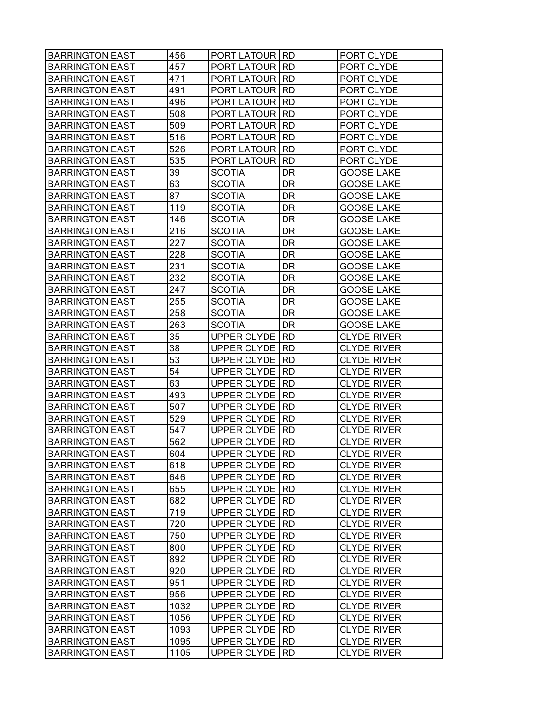| <b>BARRINGTON EAST</b> | 456  | <b>PORT LATOUR RD</b> |            | PORT CLYDE         |
|------------------------|------|-----------------------|------------|--------------------|
| <b>BARRINGTON EAST</b> | 457  | <b>PORT LATOUR</b>    | <b>IRD</b> | PORT CLYDE         |
| <b>BARRINGTON EAST</b> | 471  | <b>PORT LATOUR</b>    | <b>RD</b>  | PORT CLYDE         |
| <b>BARRINGTON EAST</b> | 491  | <b>PORT LATOUR</b>    | <b>IRD</b> | PORT CLYDE         |
| <b>BARRINGTON EAST</b> | 496  | PORT LATOUR           | <b>IRD</b> | PORT CLYDE         |
| <b>BARRINGTON EAST</b> | 508  | PORT LATOUR           | <b>RD</b>  | PORT CLYDE         |
| <b>BARRINGTON EAST</b> | 509  | PORT LATOUR           | <b>RD</b>  | PORT CLYDE         |
| <b>BARRINGTON EAST</b> | 516  | PORT LATOUR           | <b>RD</b>  | PORT CLYDE         |
| <b>BARRINGTON EAST</b> | 526  | PORT LATOUR           | <b>RD</b>  | PORT CLYDE         |
| <b>BARRINGTON EAST</b> | 535  | PORT LATOUR           | <b>RD</b>  | PORT CLYDE         |
| <b>BARRINGTON EAST</b> | 39   | <b>SCOTIA</b>         | DR         | <b>GOOSE LAKE</b>  |
| <b>BARRINGTON EAST</b> | 63   | <b>SCOTIA</b>         | DR         | <b>GOOSE LAKE</b>  |
| <b>BARRINGTON EAST</b> | 87   | <b>SCOTIA</b>         | DR.        | <b>GOOSE LAKE</b>  |
| <b>BARRINGTON EAST</b> | 119  | <b>SCOTIA</b>         | DR         | <b>GOOSE LAKE</b>  |
| <b>BARRINGTON EAST</b> | 146  | <b>SCOTIA</b>         | <b>DR</b>  | <b>GOOSE LAKE</b>  |
| <b>BARRINGTON EAST</b> | 216  | <b>SCOTIA</b>         | <b>DR</b>  | <b>GOOSE LAKE</b>  |
| <b>BARRINGTON EAST</b> | 227  | <b>SCOTIA</b>         | DR         | <b>GOOSE LAKE</b>  |
| <b>BARRINGTON EAST</b> | 228  | <b>SCOTIA</b>         | DR         | <b>GOOSE LAKE</b>  |
| <b>BARRINGTON EAST</b> | 231  | <b>SCOTIA</b>         | DR         | <b>GOOSE LAKE</b>  |
| <b>BARRINGTON EAST</b> | 232  | <b>SCOTIA</b>         | DR         | <b>GOOSE LAKE</b>  |
| <b>BARRINGTON EAST</b> | 247  | <b>SCOTIA</b>         | <b>DR</b>  | <b>GOOSE LAKE</b>  |
| <b>BARRINGTON EAST</b> | 255  | <b>SCOTIA</b>         | <b>DR</b>  | <b>GOOSE LAKE</b>  |
| <b>BARRINGTON EAST</b> | 258  | <b>SCOTIA</b>         | DR         | <b>GOOSE LAKE</b>  |
| <b>BARRINGTON EAST</b> | 263  | <b>SCOTIA</b>         | DR         | <b>GOOSE LAKE</b>  |
| <b>BARRINGTON EAST</b> | 35   | <b>UPPER CLYDE</b>    | <b>RD</b>  | <b>CLYDE RIVER</b> |
| <b>BARRINGTON EAST</b> | 38   | UPPER CLYDE           | <b>RD</b>  | <b>CLYDE RIVER</b> |
| <b>BARRINGTON EAST</b> | 53   | UPPER CLYDE           | <b>RD</b>  | <b>CLYDE RIVER</b> |
| <b>BARRINGTON EAST</b> | 54   | UPPER CLYDE           | <b>RD</b>  | <b>CLYDE RIVER</b> |
| <b>BARRINGTON EAST</b> | 63   | UPPER CLYDE           | <b>RD</b>  | <b>CLYDE RIVER</b> |
| <b>BARRINGTON EAST</b> | 493  | UPPER CLYDE           | <b>RD</b>  | <b>CLYDE RIVER</b> |
| <b>BARRINGTON EAST</b> | 507  | UPPER CLYDE           | <b>RD</b>  | <b>CLYDE RIVER</b> |
| <b>BARRINGTON EAST</b> | 529  | UPPER CLYDE           | <b>RD</b>  | <b>CLYDE RIVER</b> |
| <b>BARRINGTON EAST</b> | 547  | UPPER CLYDE           | <b>RD</b>  | <b>CLYDE RIVER</b> |
| <b>BARRINGTON EAST</b> | 562  | <b>UPPER CLYDE</b>    | <b>RD</b>  | <b>CLYDE RIVER</b> |
| <b>BARRINGTON EAST</b> | 604  | UPPER CLYDE RD        |            | CLYDE RIVER        |
| <b>BARRINGTON EAST</b> | 618  | UPPER CLYDE           | RD         | <b>CLYDE RIVER</b> |
| <b>BARRINGTON EAST</b> | 646  | UPPER CLYDE RD        |            | <b>CLYDE RIVER</b> |
| <b>BARRINGTON EAST</b> | 655  | UPPER CLYDE           | IRD        | <b>CLYDE RIVER</b> |
| <b>BARRINGTON EAST</b> | 682  | UPPER CLYDE           | RD         | <b>CLYDE RIVER</b> |
| <b>BARRINGTON EAST</b> | 719  | UPPER CLYDE           | <b>RD</b>  | <b>CLYDE RIVER</b> |
| <b>BARRINGTON EAST</b> | 720  | UPPER CLYDE           | RD         | <b>CLYDE RIVER</b> |
| <b>BARRINGTON EAST</b> | 750  | UPPER CLYDE           | <b>RD</b>  | <b>CLYDE RIVER</b> |
| <b>BARRINGTON EAST</b> | 800  | UPPER CLYDE           | <b>RD</b>  | <b>CLYDE RIVER</b> |
| <b>BARRINGTON EAST</b> | 892  | UPPER CLYDE           | IRD.       | <b>CLYDE RIVER</b> |
| <b>BARRINGTON EAST</b> | 920  | UPPER CLYDE           | <b>RD</b>  | <b>CLYDE RIVER</b> |
| <b>BARRINGTON EAST</b> | 951  | UPPER CLYDE           | <b>RD</b>  | <b>CLYDE RIVER</b> |
| <b>BARRINGTON EAST</b> | 956  | UPPER CLYDE           | RD         | <b>CLYDE RIVER</b> |
| <b>BARRINGTON EAST</b> | 1032 | UPPER CLYDE           | <b>RD</b>  | <b>CLYDE RIVER</b> |
| <b>BARRINGTON EAST</b> | 1056 | UPPER CLYDE           | <b>RD</b>  | <b>CLYDE RIVER</b> |
| <b>BARRINGTON EAST</b> | 1093 | UPPER CLYDE           | <b>RD</b>  | <b>CLYDE RIVER</b> |
| <b>BARRINGTON EAST</b> | 1095 | UPPER CLYDE           | <b>RD</b>  | <b>CLYDE RIVER</b> |
| <b>BARRINGTON EAST</b> | 1105 | UPPER CLYDE           | RD.        | <b>CLYDE RIVER</b> |